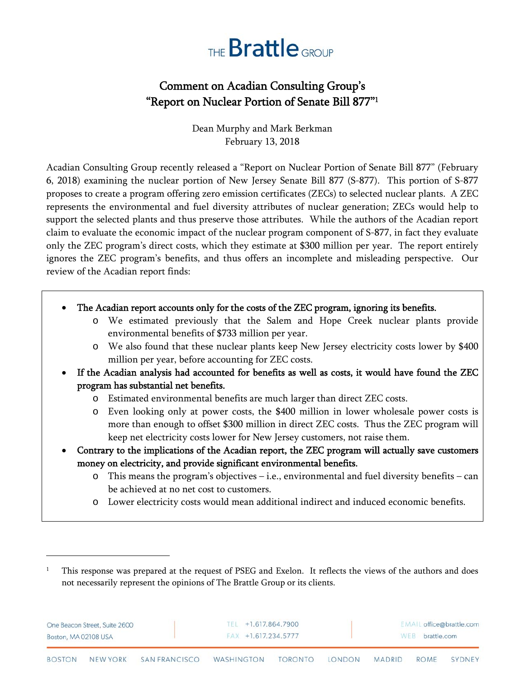## THE **Brattle** GROUP

## Comment on Acadian Consulting Group's "Report on Nuclear Portion of Senate Bill 877"1

Dean Murphy and Mark Berkman February 13, 2018

Acadian Consulting Group recently released a "Report on Nuclear Portion of Senate Bill 877" (February 6, 2018) examining the nuclear portion of New Jersey Senate Bill 877 (S-877). This portion of S-877 proposes to create a program offering zero emission certificates (ZECs) to selected nuclear plants. A ZEC represents the environmental and fuel diversity attributes of nuclear generation; ZECs would help to support the selected plants and thus preserve those attributes. While the authors of the Acadian report claim to evaluate the economic impact of the nuclear program component of S-877, in fact they evaluate only the ZEC program's direct costs, which they estimate at \$300 million per year. The report entirely ignores the ZEC program's benefits, and thus offers an incomplete and misleading perspective. Our review of the Acadian report finds:

- The Acadian report accounts only for the costs of the ZEC program, ignoring its benefits.
	- o We estimated previously that the Salem and Hope Creek nuclear plants provide environmental benefits of \$733 million per year.
	- o We also found that these nuclear plants keep New Jersey electricity costs lower by \$400 million per year, before accounting for ZEC costs.
- If the Acadian analysis had accounted for benefits as well as costs, it would have found the ZEC program has substantial net benefits.
	- o Estimated environmental benefits are much larger than direct ZEC costs.
	- o Even looking only at power costs, the \$400 million in lower wholesale power costs is more than enough to offset \$300 million in direct ZEC costs. Thus the ZEC program will keep net electricity costs lower for New Jersey customers, not raise them.
- Contrary to the implications of the Acadian report, the ZEC program will actually save customers money on electricity, and provide significant environmental benefits.
	- o This means the program's objectives i.e., environmental and fuel diversity benefits can be achieved at no net cost to customers.
	- o Lower electricity costs would mean additional indirect and induced economic benefits.

 $\overline{a}$ 

| One Beacon Street, Suite 2600 | TEL +1.617.864.7900    |     | EMAIL office@brattle.com |
|-------------------------------|------------------------|-----|--------------------------|
| Boston, MA 02108 USA          | $FAX + 1.617.234.5777$ | WEB | brattle.com              |

<sup>1</sup> This response was prepared at the request of PSEG and Exelon. It reflects the views of the authors and does not necessarily represent the opinions of The Brattle Group or its clients.